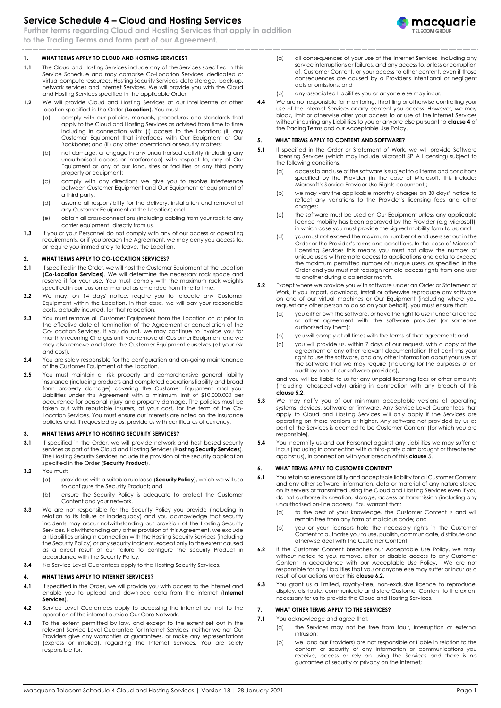# **Service Schedule 4 – Cloud and Hosting Services**

**Further terms regarding Cloud and Hosting Services that apply in addition to the Trading Terms and form part of our Agreement.**

#### **1. WHAT TERMS APPLY TO CLOUD AND HOSTING SERVICES?**

- **1.1** The Cloud and Hosting Services include any of the Services specified in this Service Schedule and may comprise Co-Location Services, dedicated or virtual compute resources, Hosting Security Services, data storage, back-up, network services and Internet Services. We will provide you with the Cloud and Hosting Services specified in the applicable Order.
- **1.2** We will provide Cloud and Hosting Services at our Intellicentre or other location specified in the Order (**Location**). You must:
	- (a) comply with our policies, manuals, procedures and standards that apply to the Cloud and Hosting Services as advised from time to time including in connection with: (i) access to the Location; (ii) any Customer Equipment that interfaces with Our Equipment or Our Backbone; and (iii) any other operational or security matters;
	- (b) not damage, or engage in any unauthorised activity (including any unauthorised access or interference) with respect to, any of Our Equipment or any of our land, sites or facilities or any third party property or equipment;
	- (c) comply with any directions we give you to resolve interference between Customer Equipment and Our Equipment or equipment of a third party;
	- (d) assume all responsibility for the delivery, installation and removal of any Customer Equipment at the Location; and
	- (e) obtain all cross-connections (including cabling from your rack to any carrier equipment) directly from us.
- **1.3** If you or your Personnel do not comply with any of our access or operating requirements, or if you breach the Agreement, we may deny you access to, or require you immediately to leave, the Location.

#### **2. WHAT TERMS APPLY TO CO-LOCATION SERVICES?**

- **2.1** If specified in the Order, we will host the Customer Equipment at the Location (**Co-Location Services**). We will determine the necessary rack space and reserve it for your use. You must comply with the maximum rack weights specified in our customer manual as amended from time to time.
- **2.2** We may, on 14 days' notice, require you to relocate any Customer Equipment within the Location. In that case, we will pay your reasonable costs, actually incurred, for that relocation.
- **2.3** You must remove all Customer Equipment from the Location on or prior to the effective date of termination of the Agreement or cancellation of the Co-Location Services. If you do not, we may continue to invoice you for monthly recurring Charges until you remove all Customer Equipment and we may also remove and store the Customer Equipment ourselves (at your risk and cost).
- **2.4** You are solely responsible for the configuration and on-going maintenance of the Customer Equipment at the Location.
- **2.5** You must maintain all risk property and comprehensive general liability insurance (including products and completed operations liability and broad form property damage) covering the Customer Equipment and your Liabilities under this Agreement with a minimum limit of \$10,000,000 per occurrence for personal injury and property damage. The policies must be taken out with reputable insurers, at your cost, for the term of the Co-Location Services. You must ensure our interests are noted on the insurance policies and, if requested by us, provide us with certificates of currency.

#### **3. WHAT TERMS APPLY TO HOSTING SECURITY SERVICES?**

- **3.1** If specified in the Order, we will provide network and host based security services as part of the Cloud and Hosting Services (**Hosting Security Services**). The Hosting Security Services include the provision of the security application specified in the Order (**Security Product**).
- **3.2** You must:
	- (a) provide us with a suitable rule base (**Security Policy**), which we will use to configure the Security Product; and
	- (b) ensure the Security Policy is adequate to protect the Customer Content and your network.
- **3.3** We are not responsible for the Security Policy you provide (including in relation to its failure or inadequacy) and you acknowledge that security incidents may occur notwithstanding our provision of the Hosting Security Services. Notwithstanding any other provision of this Agreement, we exclude all Liabilities arising in connection with the Hosting Security Services (including the Security Policy) or any security incident, except only to the extent caused as a direct result of our failure to configure the Security Product in accordance with the Security Policy.
- **3.4** No Service Level Guarantees apply to the Hosting Security Services.

#### **4. WHAT TERMS APPLY TO INTERNET SERVICES?**

- **4.1** If specified in the Order, we will provide you with access to the internet and enable you to upload and download data from the internet (**Internet Services**).
- **4.2** Service Level Guarantees apply to accessing the internet but not to the operation of the internet outside Our Core Network.
- **4.3** To the extent permitted by law, and except to the extent set out in the relevant Service Level Guarantee for Internet Services, neither we nor Our Providers give any warranties or guarantees, or make any representations (express or implied), regarding the Internet Services. You are solely responsible for:
- (a) all consequences of your use of the Internet Services, including any service interruptions or failures, and any access to, or loss or corruption of, Customer Content, or your access to other content, even if those consequences are caused by a Provider's intentional or negligent acts or omissions; and
- (b) any associated Liabilities you or anyone else may incur.
- **4.4** We are not responsible for monitoring, throttling or otherwise controlling your use of the Internet Services or any content you access. However, we may block, limit or otherwise alter your access to or use of the Internet Services without incurring any Liabilities to you or anyone else pursuant to **clause 4** of the Trading Terms and our Acceptable Use Policy.

#### <span id="page-0-1"></span>**5. WHAT TERMS APPLY TO CONTENT AND SOFTWARE?**

- **5.1** If specified in the Order or Statement of Work, we will provide Software Licensing Services (which may include Microsoft SPLA Licensing) subject to the following conditions:
	- (a) access to and use of the software is subject to all terms and conditions specified by the Provider (in the case of Microsoft, this includes Microsoft's Service Provider Use Rights document);
	- (b) we may vary the applicable monthly charges on 30 days' notice to reflect any variations to the Provider's licensing fees and other charges;
	- (c) the software must be used on Our Equipment unless any applicable licence mobility has been approved by the Provider (e.g Microsoft), in which case you must provide the signed mobility form to us; and
	- (d) you must not exceed the maximum number of end users set out in the Order or the Provider's terms and conditions. In the case of Microsoft Licensing Services this means you must not allow the number of unique users with remote access to applications and data to exceed the maximum permitted number of unique users, as specified in the Order and you must not reassign remote access rights from one user to another during a calendar month.
- <span id="page-0-0"></span>**5.2** Except where we provide you with software under an Order or Statement of Work, if you import, download, install or otherwise reproduce any software on one of our virtual machines or Our Equipment (including where you request any other person to do so on your behalf), you must ensure that:
	- (a) you either own the software, or have the right to use it under a licence or other agreement with the software provider (or someone authorised by them);
	- (b) you will comply at all times with the terms of that agreement; and
	- (c) you will provide us, within 7 days of our request, with a copy of the agreement or any other relevant documentation that confirms your right to use the software, and any other information about your use of the software that we may require (including for the purposes of an audit by one of our software providers),

and you will be liable to us for any unpaid licensing fees or other amounts (including retrospectively) arising in connection with any breach of this **clause [5.2](#page-0-0)**.

- **5.3** We may notify you of our minimum acceptable versions of operating systems, devices, software or firmware. Any Service Level Guarantees that apply to Cloud and Hosting Services will only apply if the Services are operating on those versions or higher. Any software not provided by us as part of the Services is deemed to be Customer Content (for which you are responsible).
- **5.4** You indemnify us and our Personnel against any Liabilities we may suffer or incur (including in connection with a third-party claim brought or threatened against us), in connection with your breach of this **clause** [5.](#page-0-1)

#### **6. WHAT TERMS APPLY TO CUSTOMER CONTENT?**

- **6.1** You retain sole responsibility and accept sole liability for all Customer Content and any other software, information, data or material of any nature stored on its servers or transmitted using the Cloud and Hosting Services even if you do not authorise its creation, storage, access or transmission (including any unauthorised on-line access). You warrant that:
	- (a) to the best of your knowledge, the Customer Content is and will remain free from any form of malicious code; and
	- (b) you or your licensors hold the necessary rights in the Customer Content to authorise you to use, publish, communicate, distribute and otherwise deal with the Customer Content.
- <span id="page-0-2"></span>**6.2** If the Customer Content breaches our Acceptable Use Policy, we may, without notice to you, remove, alter or disable access to any Customer Content in accordance with our Acceptable Use Policy. We are not responsible for any Liabilities that you or anyone else may suffer or incur as a result of our actions under this **clause [6.2](#page-0-2)**.
- **6.3** You grant us a limited, royalty-free, non-exclusive licence to reproduce, display, distribute, communicate and store Customer Content to the extent necessary for us to provide the Cloud and Hosting Services.

#### **7. WHAT OTHER TERMS APPLY TO THE SERVICES?**

- **7.1** You acknowledge and agree that:
	- (a) the Services may not be free from fault, interruption or external intrusion;
	- (b) we (and our Providers) are not responsible or Liable in relation to the content or security of any information or communications you receive, access or rely on using the Services and there is no guarantee of security or privacy on the Internet;